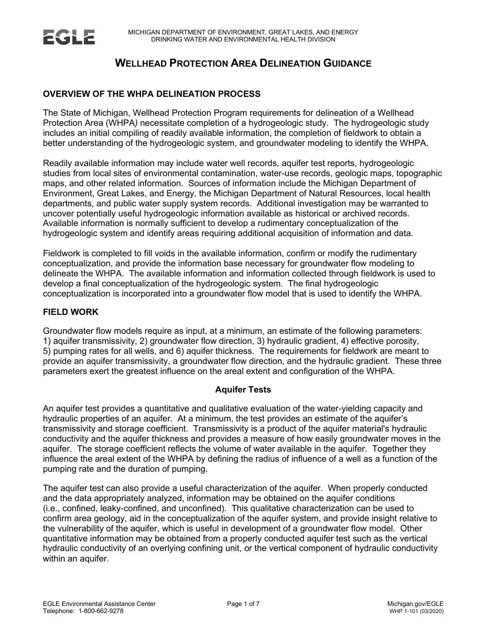# **WELLHEAD PROTECTION AREA DELINEATION GUIDANCE**

## **OVERVIEW OF THE WHPA DELINEATION PROCESS**

The State of Michigan, Wellhead Protection Program requirements for delineation of a Wellhead Protection Area (WHPA*)* necessitate completion of a hydrogeologic study. The hydrogeologic study includes an initial compiling of readily available information, the completion of fieldwork to obtain a better understanding of the hydrogeologic system, and groundwater modeling to identify the WHPA.

Readily available information may include water well records, aquifer test reports, hydrogeologic studies from local sites of environmental contamination, water-use records, geologic maps, topographic maps, and other related information. Sources of information include the Michigan Department of Environment, Great Lakes, and Energy, the Michigan Department of Natural Resources, local health departments, and public water supply system records. Additional investigation may be warranted to uncover potentially useful hydrogeologic information available as historical or archived records. Available information is normally sufficient to develop a rudimentary conceptualization of the hydrogeologic system and identify areas requiring additional acquisition of information and data.

Fieldwork is completed to fill voids in the available information, confirm or modify the rudimentary conceptualization, and provide the information base necessary for groundwater flow modeling to delineate the WHPA. The available information and information collected through fieldwork is used to develop a final conceptualization of the hydrogeologic system. The final hydrogeologic conceptualization is incorporated into a groundwater flow model that is used to identify the WHPA.

### **FIELD WORK**

Groundwater flow models require as input, at a minimum, an estimate of the following parameters: 1) aquifer transmissivity, 2) groundwater flow direction, 3) hydraulic gradient, 4) effective porosity, 5) pumping rates for all wells, and 6) aquifer thickness. The requirements for fieldwork are meant to provide an aquifer transmissivity, a groundwater flow direction, and the hydraulic gradient. These three parameters exert the greatest influence on the areal extent and configuration of the WHPA.

## **Aquifer Tests**

An aquifer test provides a quantitative and qualitative evaluation of the water-yielding capacity and hydraulic properties of an aquifer. At a minimum, the test provides an estimate of the aquifer's transmissivity and storage coefficient. Transmissivity is a product of the aquifer material's hydraulic conductivity and the aquifer thickness and provides a measure of how easily groundwater moves in the aquifer. The storage coefficient reflects the volume of water available in the aquifer. Together they influence the areal extent of the WHPA by defining the radius of influence of a well as a function of the pumping rate and the duration of pumping.

The aquifer test can also provide a useful characterization of the aquifer. When properly conducted and the data appropriately analyzed, information may be obtained on the aquifer conditions (i.e., confined, leaky-confined, and unconfined). This qualitative characterization can be used to confirm area geology, aid in the conceptualization of the aquifer system, and provide insight relative to the vulnerability of the aquifer, which is useful in development of a groundwater flow model. Other quantitative information may be obtained from a properly conducted aquifer test such as the vertical hydraulic conductivity of an overlying confining unit, or the vertical component of hydraulic conductivity within an aquifer.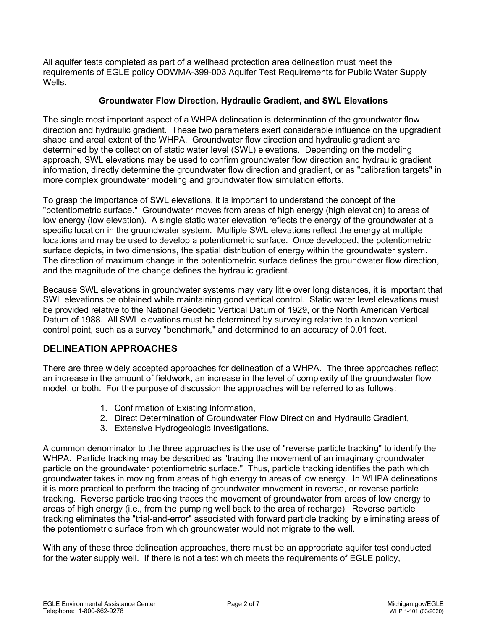All aquifer tests completed as part of a wellhead protection area delineation must meet the requirements of EGLE policy ODWMA-399-003 Aquifer Test Requirements for Public Water Supply Wells.

## **Groundwater Flow Direction, Hydraulic Gradient, and SWL Elevations**

The single most important aspect of a WHPA delineation is determination of the groundwater flow direction and hydraulic gradient. These two parameters exert considerable influence on the upgradient shape and areal extent of the WHPA. Groundwater flow direction and hydraulic gradient are determined by the collection of static water level (SWL) elevations. Depending on the modeling approach, SWL elevations may be used to confirm groundwater flow direction and hydraulic gradient information, directly determine the groundwater flow direction and gradient, or as "calibration targets" in more complex groundwater modeling and groundwater flow simulation efforts.

To grasp the importance of SWL elevations, it is important to understand the concept of the "potentiometric surface." Groundwater moves from areas of high energy (high elevation) to areas of low energy (low elevation). A single static water elevation reflects the energy of the groundwater at a specific location in the groundwater system. Multiple SWL elevations reflect the energy at multiple locations and may be used to develop a potentiometric surface. Once developed, the potentiometric surface depicts, in two dimensions, the spatial distribution of energy within the groundwater system. The direction of maximum change in the potentiometric surface defines the groundwater flow direction, and the magnitude of the change defines the hydraulic gradient.

Because SWL elevations in groundwater systems may vary little over long distances, it is important that SWL elevations be obtained while maintaining good vertical control. Static water level elevations must be provided relative to the National Geodetic Vertical Datum of 1929, or the North American Vertical Datum of 1988. All SWL elevations must be determined by surveying relative to a known vertical control point, such as a survey "benchmark," and determined to an accuracy of 0.01 feet.

## **DELINEATION APPROACHES**

There are three widely accepted approaches for delineation of a WHPA. The three approaches reflect an increase in the amount of fieldwork, an increase in the level of complexity of the groundwater flow model, or both. For the purpose of discussion the approaches will be referred to as follows:

- 1. Confirmation of Existing Information,
- 2. Direct Determination of Groundwater Flow Direction and Hydraulic Gradient,
- 3. Extensive Hydrogeologic Investigations.

A common denominator to the three approaches is the use of "reverse particle tracking" to identify the WHPA. Particle tracking may be described as "tracing the movement of an imaginary groundwater particle on the groundwater potentiometric surface." Thus, particle tracking identifies the path which groundwater takes in moving from areas of high energy to areas of low energy. In WHPA delineations it is more practical to perform the tracing of groundwater movement in reverse, or reverse particle tracking. Reverse particle tracking traces the movement of groundwater from areas of low energy to areas of high energy (i.e., from the pumping well back to the area of recharge). Reverse particle tracking eliminates the "trial-and-error" associated with forward particle tracking by eliminating areas of the potentiometric surface from which groundwater would not migrate to the well.

With any of these three delineation approaches, there must be an appropriate aquifer test conducted for the water supply well. If there is not a test which meets the requirements of EGLE policy,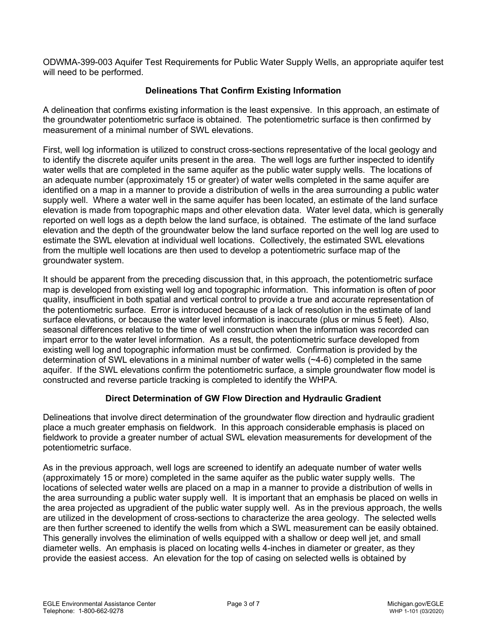ODWMA-399-003 Aquifer Test Requirements for Public Water Supply Wells, an appropriate aquifer test will need to be performed.

## **Delineations That Confirm Existing Information**

A delineation that confirms existing information is the least expensive. In this approach, an estimate of the groundwater potentiometric surface is obtained. The potentiometric surface is then confirmed by measurement of a minimal number of SWL elevations.

First, well log information is utilized to construct cross-sections representative of the local geology and to identify the discrete aquifer units present in the area. The well logs are further inspected to identify water wells that are completed in the same aquifer as the public water supply wells. The locations of an adequate number (approximately 15 or greater) of water wells completed in the same aquifer are identified on a map in a manner to provide a distribution of wells in the area surrounding a public water supply well. Where a water well in the same aquifer has been located, an estimate of the land surface elevation is made from topographic maps and other elevation data. Water level data, which is generally reported on well logs as a depth below the land surface, is obtained. The estimate of the land surface elevation and the depth of the groundwater below the land surface reported on the well log are used to estimate the SWL elevation at individual well locations. Collectively, the estimated SWL elevations from the multiple well locations are then used to develop a potentiometric surface map of the groundwater system.

It should be apparent from the preceding discussion that, in this approach, the potentiometric surface map is developed from existing well log and topographic information. This information is often of poor quality, insufficient in both spatial and vertical control to provide a true and accurate representation of the potentiometric surface. Error is introduced because of a lack of resolution in the estimate of land surface elevations, or because the water level information is inaccurate (plus or minus 5 feet). Also, seasonal differences relative to the time of well construction when the information was recorded can impart error to the water level information. As a result, the potentiometric surface developed from existing well log and topographic information must be confirmed. Confirmation is provided by the determination of SWL elevations in a minimal number of water wells (~4-6) completed in the same aquifer. If the SWL elevations confirm the potentiometric surface, a simple groundwater flow model is constructed and reverse particle tracking is completed to identify the WHPA*.*

## **Direct Determination of GW Flow Direction and Hydraulic Gradient**

Delineations that involve direct determination of the groundwater flow direction and hydraulic gradient place a much greater emphasis on fieldwork. In this approach considerable emphasis is placed on fieldwork to provide a greater number of actual SWL elevation measurements for development of the potentiometric surface.

As in the previous approach, well logs are screened to identify an adequate number of water wells (approximately 15 or more) completed in the same aquifer as the public water supply wells. The locations of selected water wells are placed on a map in a manner to provide a distribution of wells in the area surrounding a public water supply well. It is important that an emphasis be placed on wells in the area projected as upgradient of the public water supply well. As in the previous approach, the wells are utilized in the development of cross-sections to characterize the area geology. The selected wells are then further screened to identify the wells from which a SWL measurement can be easily obtained. This generally involves the elimination of wells equipped with a shallow or deep well jet, and small diameter wells. An emphasis is placed on locating wells 4-inches in diameter or greater, as they provide the easiest access. An elevation for the top of casing on selected wells is obtained by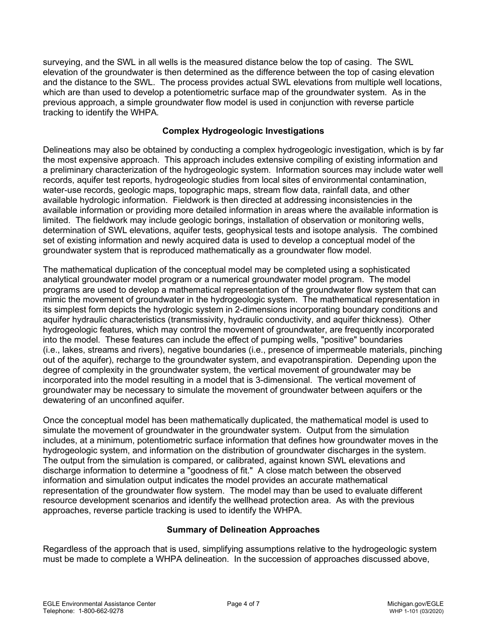surveying, and the SWL in all wells is the measured distance below the top of casing. The SWL elevation of the groundwater is then determined as the difference between the top of casing elevation and the distance to the SWL. The process provides actual SWL elevations from multiple well locations, which are than used to develop a potentiometric surface map of the groundwater system. As in the previous approach, a simple groundwater flow model is used in conjunction with reverse particle tracking to identify the WHPA*.*

## **Complex Hydrogeologic Investigations**

Delineations may also be obtained by conducting a complex hydrogeologic investigation, which is by far the most expensive approach. This approach includes extensive compiling of existing information and a preliminary characterization of the hydrogeologic system. Information sources may include water well records, aquifer test reports, hydrogeologic studies from local sites of environmental contamination, water-use records, geologic maps, topographic maps, stream flow data, rainfall data, and other available hydrologic information. Fieldwork is then directed at addressing inconsistencies in the available information or providing more detailed information in areas where the available information is limited. The fieldwork may include geologic borings, installation of observation or monitoring wells, determination of SWL elevations, aquifer tests, geophysical tests and isotope analysis. The combined set of existing information and newly acquired data is used to develop a conceptual model of the groundwater system that is reproduced mathematically as a groundwater flow model.

The mathematical duplication of the conceptual model may be completed using a sophisticated analytical groundwater model program or a numerical groundwater model program. The model programs are used to develop a mathematical representation of the groundwater flow system that can mimic the movement of groundwater in the hydrogeologic system. The mathematical representation in its simplest form depicts the hydrologic system in 2-dimensions incorporating boundary conditions and aquifer hydraulic characteristics (transmissivity, hydraulic conductivity, and aquifer thickness). Other hydrogeologic features, which may control the movement of groundwater, are frequently incorporated into the model. These features can include the effect of pumping wells, "positive" boundaries (i.e., lakes, streams and rivers), negative boundaries (i.e., presence of impermeable materials, pinching out of the aquifer), recharge to the groundwater system, and evapotranspiration. Depending upon the degree of complexity in the groundwater system, the vertical movement of groundwater may be incorporated into the model resulting in a model that is 3-dimensional. The vertical movement of groundwater may be necessary to simulate the movement of groundwater between aquifers or the dewatering of an unconfined aquifer.

Once the conceptual model has been mathematically duplicated, the mathematical model is used to simulate the movement of groundwater in the groundwater system. Output from the simulation includes, at a minimum, potentiometric surface information that defines how groundwater moves in the hydrogeologic system, and information on the distribution of groundwater discharges in the system. The output from the simulation is compared, or calibrated, against known SWL elevations and discharge information to determine a "goodness of fit." A close match between the observed information and simulation output indicates the model provides an accurate mathematical representation of the groundwater flow system. The model may than be used to evaluate different resource development scenarios and identify the wellhead protection area. As with the previous approaches, reverse particle tracking is used to identify the WHPA.

## **Summary of Delineation Approaches**

Regardless of the approach that is used, simplifying assumptions relative to the hydrogeologic system must be made to complete a WHPA delineation. In the succession of approaches discussed above,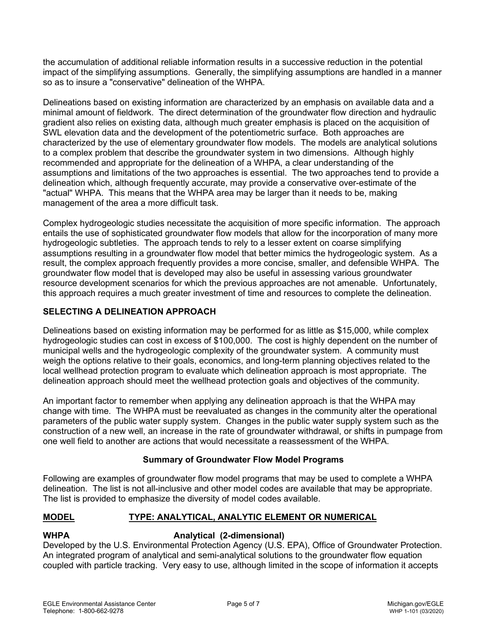the accumulation of additional reliable information results in a successive reduction in the potential impact of the simplifying assumptions. Generally, the simplifying assumptions are handled in a manner so as to insure a "conservative" delineation of the WHPA.

Delineations based on existing information are characterized by an emphasis on available data and a minimal amount of fieldwork. The direct determination of the groundwater flow direction and hydraulic gradient also relies on existing data, although much greater emphasis is placed on the acquisition of SWL elevation data and the development of the potentiometric surface. Both approaches are characterized by the use of elementary groundwater flow models. The models are analytical solutions to a complex problem that describe the groundwater system in two dimensions. Although highly recommended and appropriate for the delineation of a WHPA, a clear understanding of the assumptions and limitations of the two approaches is essential. The two approaches tend to provide a delineation which, although frequently accurate, may provide a conservative over-estimate of the "actual" WHPA. This means that the WHPA area may be larger than it needs to be, making management of the area a more difficult task.

Complex hydrogeologic studies necessitate the acquisition of more specific information. The approach entails the use of sophisticated groundwater flow models that allow for the incorporation of many more hydrogeologic subtleties. The approach tends to rely to a lesser extent on coarse simplifying assumptions resulting in a groundwater flow model that better mimics the hydrogeologic system. As a result, the complex approach frequently provides a more concise, smaller, and defensible WHPA. The groundwater flow model that is developed may also be useful in assessing various groundwater resource development scenarios for which the previous approaches are not amenable. Unfortunately, this approach requires a much greater investment of time and resources to complete the delineation.

## **SELECTING A DELINEATION APPROACH**

Delineations based on existing information may be performed for as little as \$15,000, while complex hydrogeologic studies can cost in excess of \$100,000. The cost is highly dependent on the number of municipal wells and the hydrogeologic complexity of the groundwater system. A community must weigh the options relative to their goals, economics, and long-term planning objectives related to the local wellhead protection program to evaluate which delineation approach is most appropriate. The delineation approach should meet the wellhead protection goals and objectives of the community.

An important factor to remember when applying any delineation approach is that the WHPA may change with time. The WHPA must be reevaluated as changes in the community alter the operational parameters of the public water supply system. Changes in the public water supply system such as the construction of a new well, an increase in the rate of groundwater withdrawal, or shifts in pumpage from one well field to another are actions that would necessitate a reassessment of the WHPA.

## **Summary of Groundwater Flow Model Programs**

Following are examples of groundwater flow model programs that may be used to complete a WHPA delineation. The list is not all-inclusive and other model codes are available that may be appropriate. The list is provided to emphasize the diversity of model codes available.

## **MODEL TYPE: ANALYTICAL, ANALYTIC ELEMENT OR NUMERICAL**

## **WHPA Analytical (2-dimensional)**

Developed by the U.S. Environmental Protection Agency (U.S. EPA), Office of Groundwater Protection. An integrated program of analytical and semi-analytical solutions to the groundwater flow equation coupled with particle tracking. Very easy to use, although limited in the scope of information it accepts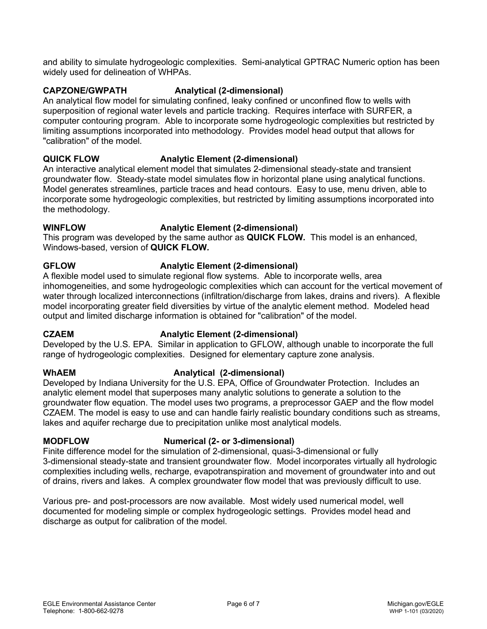and ability to simulate hydrogeologic complexities. Semi-analytical GPTRAC Numeric option has been widely used for delineation of WHPAs.

### **CAPZONE/GWPATH Analytical (2-dimensional)**

An analytical flow model for simulating confined, leaky confined or unconfined flow to wells with superposition of regional water levels and particle tracking. Requires interface with SURFER, a computer contouring program. Able to incorporate some hydrogeologic complexities but restricted by limiting assumptions incorporated into methodology. Provides model head output that allows for "calibration" of the model.

## **QUICK FLOW Analytic Element (2-dimensional)**

An interactive analytical element model that simulates 2-dimensional steady-state and transient groundwater flow. Steady-state model simulates flow in horizontal plane using analytical functions. Model generates streamlines, particle traces and head contours. Easy to use, menu driven, able to incorporate some hydrogeologic complexities, but restricted by limiting assumptions incorporated into the methodology.

### **WINFLOW Analytic Element (2-dimensional)**

This program was developed by the same author as **QUICK FLOW***.* This model is an enhanced, Windows-based, version of **QUICK FLOW***.*

## **GFLOW Analytic Element (2-dimensional)**

A flexible model used to simulate regional flow systems. Able to incorporate wells, area inhomogeneities, and some hydrogeologic complexities which can account for the vertical movement of water through localized interconnections (infiltration/discharge from lakes, drains and rivers). A flexible model incorporating greater field diversities by virtue of the analytic element method. Modeled head output and limited discharge information is obtained for "calibration" of the model.

## **CZAEM Analytic Element (2-dimensional)**

Developed by the U.S. EPA. Similar in application to GFLOW, although unable to incorporate the full range of hydrogeologic complexities. Designed for elementary capture zone analysis.

## **WhAEM Analytical (2-dimensional)**

Developed by Indiana University for the U.S. EPA, Office of Groundwater Protection. Includes an analytic element model that superposes many analytic solutions to generate a solution to the groundwater flow equation. The model uses two programs, a preprocessor GAEP and the flow model CZAEM. The model is easy to use and can handle fairly realistic boundary conditions such as streams, lakes and aquifer recharge due to precipitation unlike most analytical models.

## **MODFLOW Numerical (2- or 3-dimensional)**

Finite difference model for the simulation of 2-dimensional, quasi-3-dimensional or fully 3-dimensional steady-state and transient groundwater flow. Model incorporates virtually all hydrologic complexities including wells, recharge, evapotranspiration and movement of groundwater into and out of drains, rivers and lakes. A complex groundwater flow model that was previously difficult to use.

Various pre- and post-processors are now available. Most widely used numerical model, well documented for modeling simple or complex hydrogeologic settings. Provides model head and discharge as output for calibration of the model.